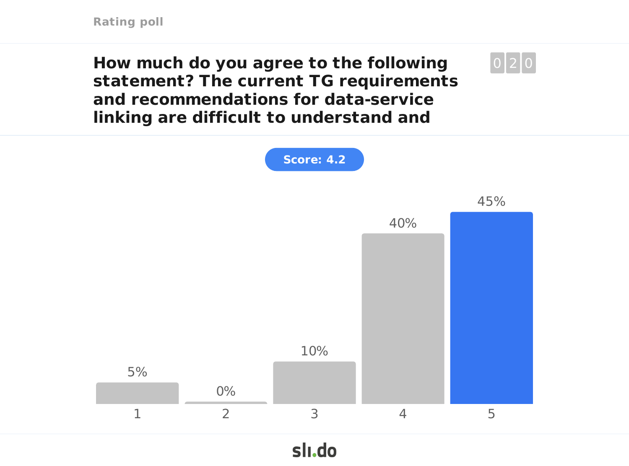**How much do you agree to the following statement? The current TG requirements and recommendations for data-service linking are difficult to understand and**

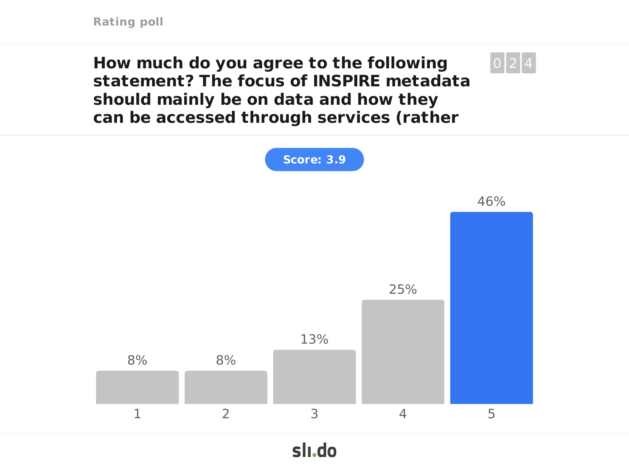**How much do you agree to the following statement? The focus of INSPIRE metadata should mainly be on data and how they can be accessed through services (rather**

 $0|2|4$ 

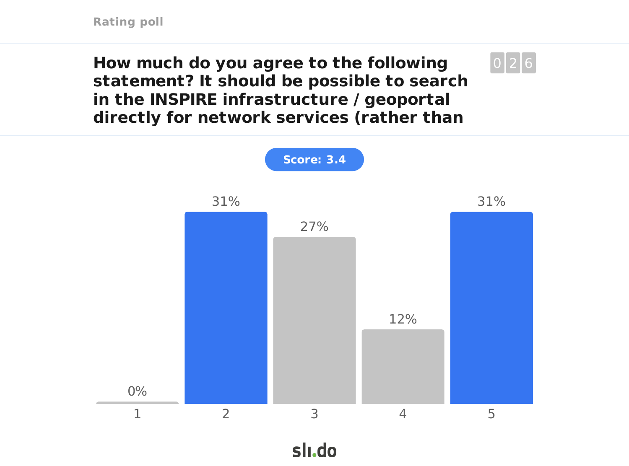**How much do you agree to the following statement? It should be possible to search in the INSPIRE infrastructure / geoportal directly for network services (rather than**

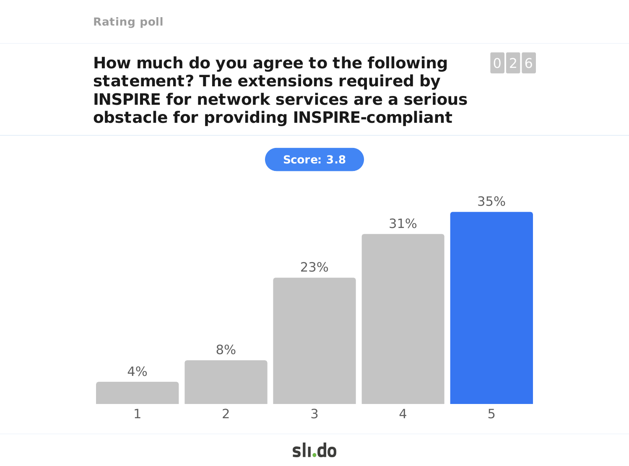**How much do you agree to the following statement? The extensions required by INSPIRE for network services are a serious obstacle for providing INSPIRE-compliant**

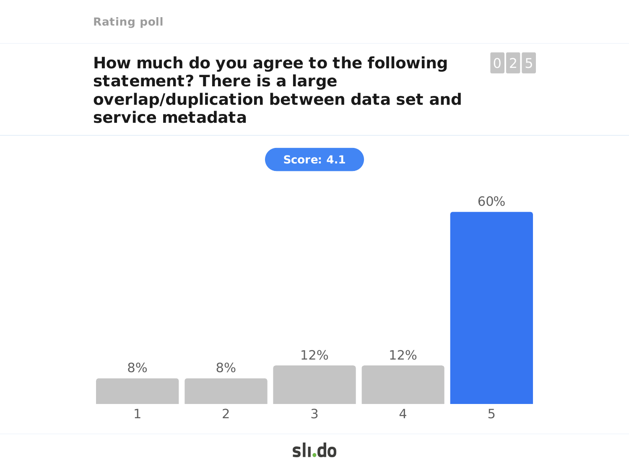**How much do you agree to the following statement? There is a large overlap/duplication between data set and service metadata**

 $0|2|5$ 



slı.do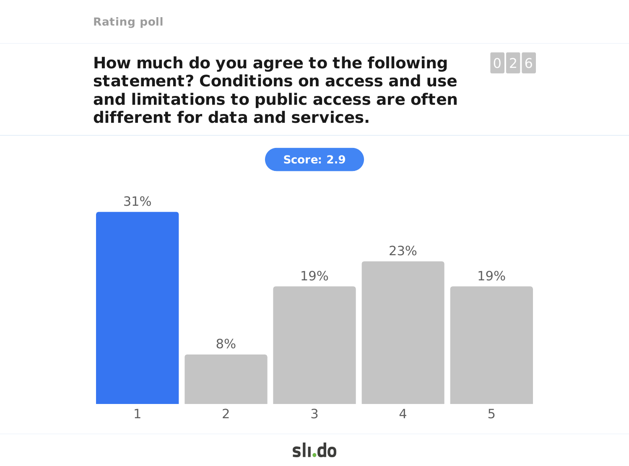**How much do you agree to the following statement? Conditions on access and use and limitations to public access are often different for data and services.**

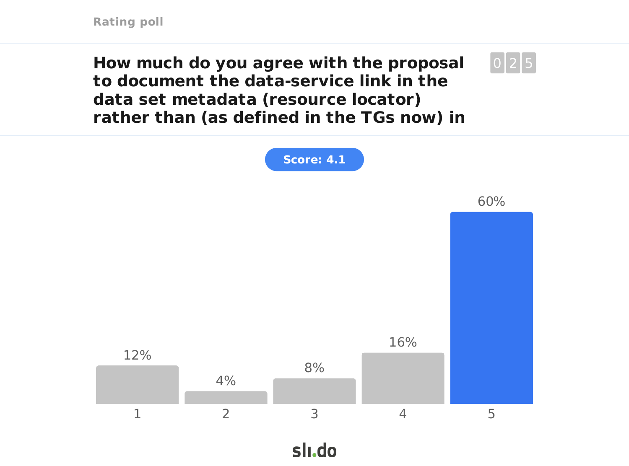**How much do you agree with the proposal to document the data-service link in the data set metadata (resource locator) rather than (as defined in the TGs now) in**



**Score: 4.1**

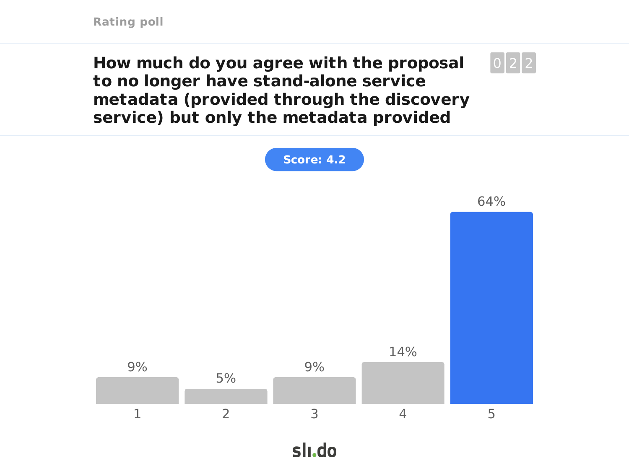**How much do you agree with the proposal to no longer have stand-alone service metadata (provided through the discovery service) but only the metadata provided**



slı.do

 $0|2|2$